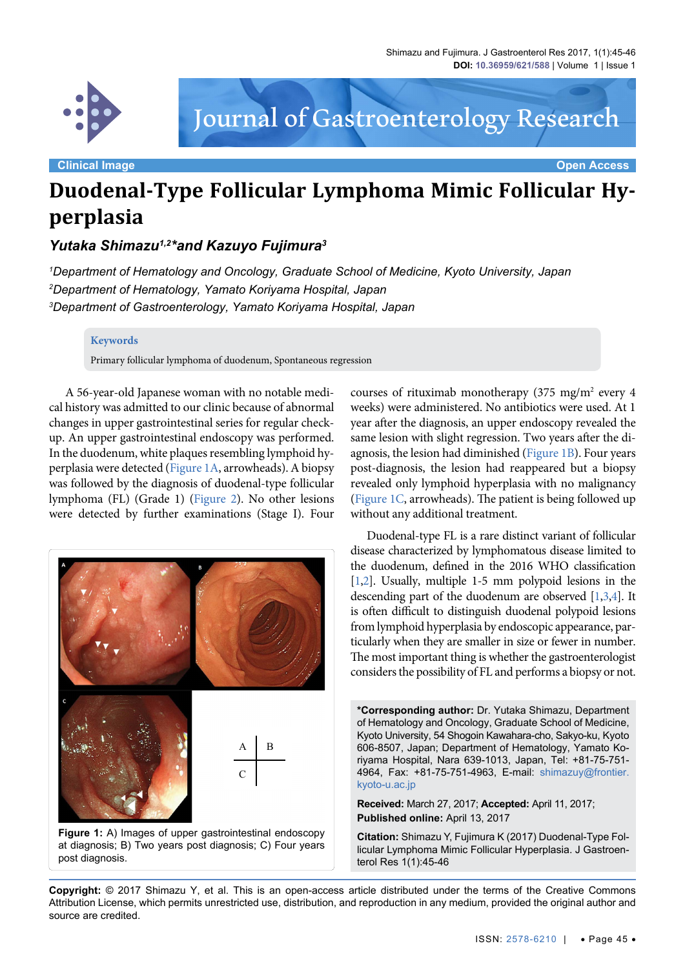

Journal of Gastroenterology Research

**Clinical Image Open Access**

# **Duodenal-Type Follicular Lymphoma Mimic Follicular Hyperplasia**

## *Yutaka Shimazu1,2\*and Kazuyo Fujimura3*

*1 Department of Hematology and Oncology, Graduate School of Medicine, Kyoto University, Japan 2 Department of Hematology, Yamato Koriyama Hospital, Japan 3 Department of Gastroenterology, Yamato Koriyama Hospital, Japan*

#### **Keywords**

Primary follicular lymphoma of duodenum, Spontaneous regression

A 56-year-old Japanese woman with no notable medical history was admitted to our clinic because of abnormal changes in upper gastrointestinal series for regular checkup. An upper gastrointestinal endoscopy was performed. In the duodenum, white plaques resembling lymphoid hyperplasia were detected [\(Figure 1A,](#page-0-0) arrowheads). A biopsy was followed by the diagnosis of duodenal-type follicular lymphoma (FL) (Grade 1) [\(Figure 2\)](#page-1-0). No other lesions were detected by further examinations (Stage I). Four

<span id="page-0-0"></span>

courses of rituximab monotherapy (375 mg/m<sup>2</sup> every 4 weeks) were administered. No antibiotics were used. At 1 year after the diagnosis, an upper endoscopy revealed the same lesion with slight regression. Two years after the diagnosis, the lesion had diminished ([Figure 1B](#page-0-0)). Four years post-diagnosis, the lesion had reappeared but a biopsy revealed only lymphoid hyperplasia with no malignancy [\(Figure 1C](#page-0-0), arrowheads). The patient is being followed up without any additional treatment.

Duodenal-type FL is a rare distinct variant of follicular disease characterized by lymphomatous disease limited to the duodenum, defined in the 2016 WHO classification [\[1](#page-1-1),[2\]](#page-1-2). Usually, multiple 1-5 mm polypoid lesions in the descending part of the duodenum are observed [[1](#page-1-1)[,3](#page-1-3)[,4\]](#page-1-4). It is often difficult to distinguish duodenal polypoid lesions from lymphoid hyperplasia by endoscopic appearance, particularly when they are smaller in size or fewer in number. The most important thing is whether the gastroenterologist considers the possibility of FL and performs a biopsy or not.

**\*Corresponding author:** Dr. Yutaka Shimazu, Department of Hematology and Oncology, Graduate School of Medicine, Kyoto University, 54 Shogoin Kawahara-cho, Sakyo-ku, Kyoto 606-8507, Japan; Department of Hematology, Yamato Koriyama Hospital, Nara 639-1013, Japan, Tel: +81-75-751- 4964, Fax: +81-75-751-4963, E-mail: [shimazuy@frontier.](mailto:shimazuy@frontier.kyoto-u.ac.jp) [kyoto-u.ac.jp](mailto:shimazuy@frontier.kyoto-u.ac.jp)

**Received:** March 27, 2017; **Accepted:** April 11, 2017; **Published online:** April 13, 2017

**Citation:** Shimazu Y, Fujimura K (2017) Duodenal-Type Follicular Lymphoma Mimic Follicular Hyperplasia. J Gastroenterol Res 1(1):45-46

**Copyright:** © 2017 Shimazu Y, et al. This is an open-access article distributed under the terms of the Creative Commons Attribution License, which permits unrestricted use, distribution, and reproduction in any medium, provided the original author and source are credited.